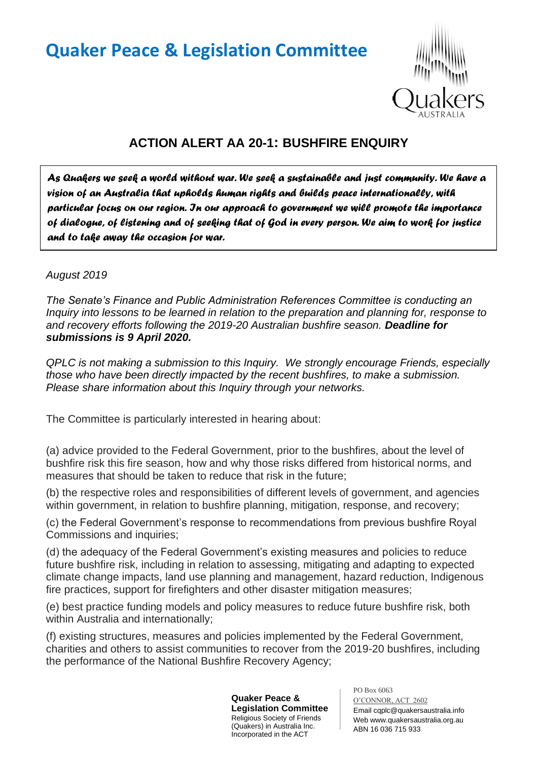## **Quaker Peace & Legislation Committee**



## **ACTION ALERT AA 20-1: BUSHFIRE ENQUIRY**

*As Quakers we seek a world without war. We seek a sustainable and just community. We have a vision of an Australia that upholds human rights and builds peace internationally, with particular focus on our region. In our approach to government we will promote the importance of dialogue, of listening and of seeking that of God in every person. We aim to work for justice and to take away the occasion for war.* 

## *August 2019*

*The Senate's Finance and Public Administration References Committee is conducting an Inquiry into lessons to be learned in relation to the preparation and planning for, response to and recovery efforts following the 2019-20 Australian bushfire season. Deadline for submissions is 9 April 2020.* 

*QPLC is not making a submission to this Inquiry. We strongly encourage Friends, especially those who have been directly impacted by the recent bushfires, to make a submission. Please share information about this Inquiry through your networks.*

The Committee is particularly interested in hearing about:

(a) advice provided to the Federal Government, prior to the bushfires, about the level of bushfire risk this fire season, how and why those risks differed from historical norms, and measures that should be taken to reduce that risk in the future;

(b) the respective roles and responsibilities of different levels of government, and agencies within government, in relation to bushfire planning, mitigation, response, and recovery;

(c) the Federal Government's response to recommendations from previous bushfire Royal Commissions and inquiries;

(d) the adequacy of the Federal Government's existing measures and policies to reduce future bushfire risk, including in relation to assessing, mitigating and adapting to expected climate change impacts, land use planning and management, hazard reduction, Indigenous fire practices, support for firefighters and other disaster mitigation measures;

(e) best practice funding models and policy measures to reduce future bushfire risk, both within Australia and internationally;

(f) existing structures, measures and policies implemented by the Federal Government, charities and others to assist communities to recover from the 2019-20 bushfires, including the performance of the National Bushfire Recovery Agency;

> **Quaker Peace & Legislation Committee** Religious Society of Friends (Quakers) in Australia Inc. Incorporated in the ACT

PO Box 6063 O'CONNOR, ACT 2602 Email cqplc@quakersaustralia.info Web www.quakersaustralia.org.au ABN 16 036 715 933